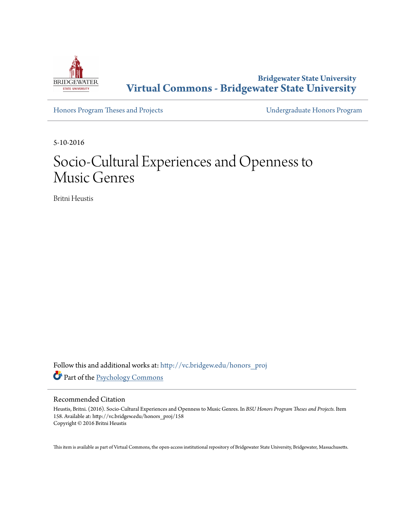

**Bridgewater State University [Virtual Commons - Bridgewater State University](http://vc.bridgew.edu?utm_source=vc.bridgew.edu%2Fhonors_proj%2F158&utm_medium=PDF&utm_campaign=PDFCoverPages)**

[Honors Program Theses and Projects](http://vc.bridgew.edu/honors_proj?utm_source=vc.bridgew.edu%2Fhonors_proj%2F158&utm_medium=PDF&utm_campaign=PDFCoverPages) [Undergraduate Honors Program](http://vc.bridgew.edu/honors?utm_source=vc.bridgew.edu%2Fhonors_proj%2F158&utm_medium=PDF&utm_campaign=PDFCoverPages)

5-10-2016

# Socio-Cultural Experiences and Openness to Music Genres

Britni Heustis

Follow this and additional works at: [http://vc.bridgew.edu/honors\\_proj](http://vc.bridgew.edu/honors_proj?utm_source=vc.bridgew.edu%2Fhonors_proj%2F158&utm_medium=PDF&utm_campaign=PDFCoverPages) Part of the [Psychology Commons](http://network.bepress.com/hgg/discipline/404?utm_source=vc.bridgew.edu%2Fhonors_proj%2F158&utm_medium=PDF&utm_campaign=PDFCoverPages)

#### Recommended Citation

Heustis, Britni. (2016). Socio-Cultural Experiences and Openness to Music Genres. In *BSU Honors Program Theses and Projects.* Item 158. Available at: http://vc.bridgew.edu/honors\_proj/158 Copyright © 2016 Britni Heustis

This item is available as part of Virtual Commons, the open-access institutional repository of Bridgewater State University, Bridgewater, Massachusetts.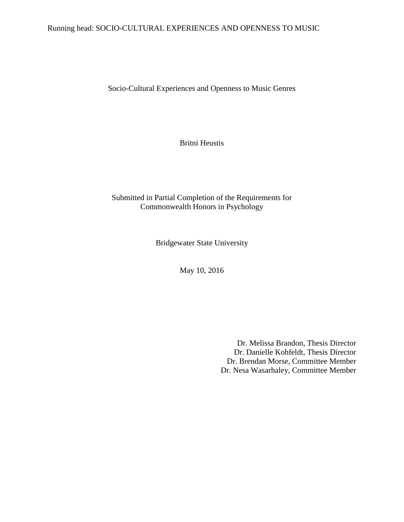# Running head: SOCIO-CULTURAL EXPERIENCES AND OPENNESS TO MUSIC

Socio-Cultural Experiences and Openness to Music Genres

Britni Heustis

# Submitted in Partial Completion of the Requirements for Commonwealth Honors in Psychology

Bridgewater State University

May 10, 2016

Dr. Melissa Brandon, Thesis Director Dr. Danielle Kohfeldt, Thesis Director Dr. Brendan Morse, Committee Member Dr. Nesa Wasarhaley, Committee Member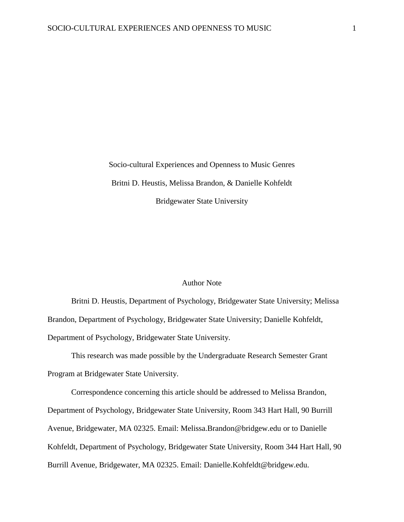Socio-cultural Experiences and Openness to Music Genres Britni D. Heustis, Melissa Brandon, & Danielle Kohfeldt Bridgewater State University

## Author Note

Britni D. Heustis, Department of Psychology, Bridgewater State University; Melissa Brandon, Department of Psychology, Bridgewater State University; Danielle Kohfeldt, Department of Psychology, Bridgewater State University.

This research was made possible by the Undergraduate Research Semester Grant Program at Bridgewater State University.

Correspondence concerning this article should be addressed to Melissa Brandon, Department of Psychology, Bridgewater State University, Room 343 Hart Hall, 90 Burrill Avenue, Bridgewater, MA 02325. Email: Melissa.Brandon@bridgew.edu or to Danielle Kohfeldt, Department of Psychology, Bridgewater State University, Room 344 Hart Hall, 90 Burrill Avenue, Bridgewater, MA 02325. Email: Danielle.Kohfeldt@bridgew.edu.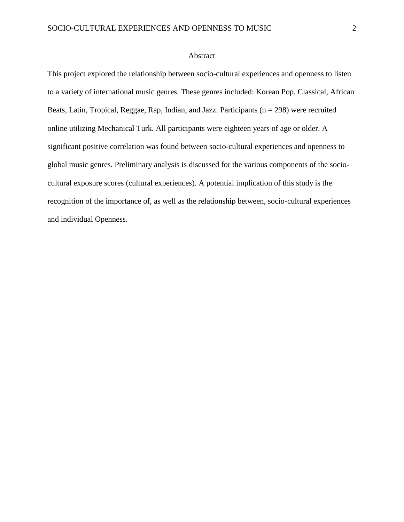#### Abstract

This project explored the relationship between socio-cultural experiences and openness to listen to a variety of international music genres. These genres included: Korean Pop, Classical, African Beats, Latin, Tropical, Reggae, Rap, Indian, and Jazz. Participants ( $n = 298$ ) were recruited online utilizing Mechanical Turk. All participants were eighteen years of age or older. A significant positive correlation was found between socio-cultural experiences and openness to global music genres. Preliminary analysis is discussed for the various components of the sociocultural exposure scores (cultural experiences). A potential implication of this study is the recognition of the importance of, as well as the relationship between, socio-cultural experiences and individual Openness.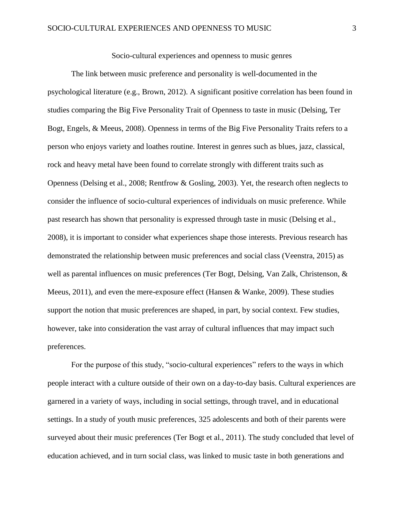Socio-cultural experiences and openness to music genres

The link between music preference and personality is well-documented in the psychological literature (e.g., Brown, 2012). A significant positive correlation has been found in studies comparing the Big Five Personality Trait of Openness to taste in music (Delsing, Ter Bogt, Engels, & Meeus, 2008). Openness in terms of the Big Five Personality Traits refers to a person who enjoys variety and loathes routine. Interest in genres such as blues, jazz, classical, rock and heavy metal have been found to correlate strongly with different traits such as Openness (Delsing et al., 2008; Rentfrow & Gosling, 2003). Yet, the research often neglects to consider the influence of socio-cultural experiences of individuals on music preference. While past research has shown that personality is expressed through taste in music (Delsing et al., 2008), it is important to consider what experiences shape those interests. Previous research has demonstrated the relationship between music preferences and social class (Veenstra, 2015) as well as parental influences on music preferences (Ter Bogt, Delsing, Van Zalk, Christenson, & Meeus, 2011), and even the mere-exposure effect (Hansen & Wanke, 2009). These studies support the notion that music preferences are shaped, in part, by social context. Few studies, however, take into consideration the vast array of cultural influences that may impact such preferences.

For the purpose of this study, "socio-cultural experiences" refers to the ways in which people interact with a culture outside of their own on a day-to-day basis. Cultural experiences are garnered in a variety of ways, including in social settings, through travel, and in educational settings. In a study of youth music preferences, 325 adolescents and both of their parents were surveyed about their music preferences (Ter Bogt et al., 2011). The study concluded that level of education achieved, and in turn social class, was linked to music taste in both generations and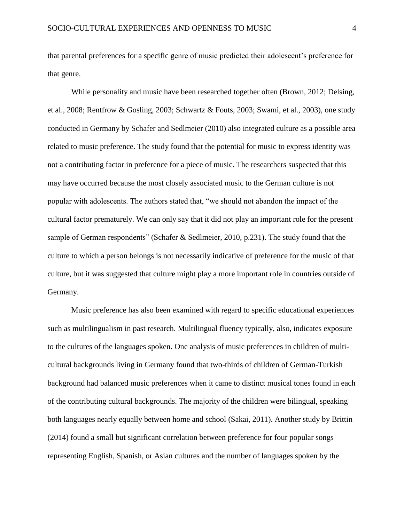that parental preferences for a specific genre of music predicted their adolescent's preference for that genre.

While personality and music have been researched together often (Brown, 2012; Delsing, et al., 2008; Rentfrow & Gosling, 2003; Schwartz & Fouts, 2003; Swami, et al., 2003), one study conducted in Germany by Schafer and Sedlmeier (2010) also integrated culture as a possible area related to music preference. The study found that the potential for music to express identity was not a contributing factor in preference for a piece of music. The researchers suspected that this may have occurred because the most closely associated music to the German culture is not popular with adolescents. The authors stated that, "we should not abandon the impact of the cultural factor prematurely. We can only say that it did not play an important role for the present sample of German respondents" (Schafer & Sedlmeier, 2010, p.231). The study found that the culture to which a person belongs is not necessarily indicative of preference for the music of that culture, but it was suggested that culture might play a more important role in countries outside of Germany.

Music preference has also been examined with regard to specific educational experiences such as multilingualism in past research. Multilingual fluency typically, also, indicates exposure to the cultures of the languages spoken. One analysis of music preferences in children of multicultural backgrounds living in Germany found that two-thirds of children of German-Turkish background had balanced music preferences when it came to distinct musical tones found in each of the contributing cultural backgrounds. The majority of the children were bilingual, speaking both languages nearly equally between home and school (Sakai, 2011). Another study by Brittin (2014) found a small but significant correlation between preference for four popular songs representing English, Spanish, or Asian cultures and the number of languages spoken by the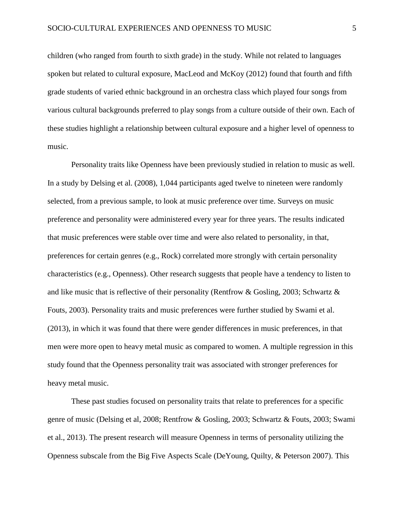children (who ranged from fourth to sixth grade) in the study. While not related to languages spoken but related to cultural exposure, MacLeod and McKoy (2012) found that fourth and fifth grade students of varied ethnic background in an orchestra class which played four songs from various cultural backgrounds preferred to play songs from a culture outside of their own. Each of these studies highlight a relationship between cultural exposure and a higher level of openness to music.

Personality traits like Openness have been previously studied in relation to music as well. In a study by Delsing et al. (2008), 1,044 participants aged twelve to nineteen were randomly selected, from a previous sample, to look at music preference over time. Surveys on music preference and personality were administered every year for three years. The results indicated that music preferences were stable over time and were also related to personality, in that, preferences for certain genres (e.g., Rock) correlated more strongly with certain personality characteristics (e.g., Openness). Other research suggests that people have a tendency to listen to and like music that is reflective of their personality (Rentfrow & Gosling, 2003; Schwartz & Fouts, 2003). Personality traits and music preferences were further studied by Swami et al. (2013), in which it was found that there were gender differences in music preferences, in that men were more open to heavy metal music as compared to women. A multiple regression in this study found that the Openness personality trait was associated with stronger preferences for heavy metal music.

These past studies focused on personality traits that relate to preferences for a specific genre of music (Delsing et al, 2008; Rentfrow & Gosling, 2003; Schwartz & Fouts, 2003; Swami et al., 2013). The present research will measure Openness in terms of personality utilizing the Openness subscale from the Big Five Aspects Scale (DeYoung, Quilty, & Peterson 2007). This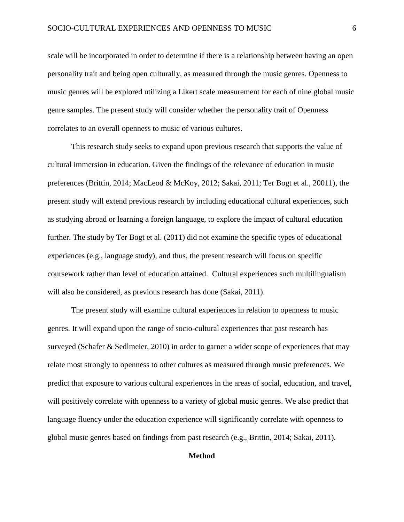scale will be incorporated in order to determine if there is a relationship between having an open personality trait and being open culturally, as measured through the music genres. Openness to music genres will be explored utilizing a Likert scale measurement for each of nine global music genre samples. The present study will consider whether the personality trait of Openness correlates to an overall openness to music of various cultures.

This research study seeks to expand upon previous research that supports the value of cultural immersion in education. Given the findings of the relevance of education in music preferences (Brittin, 2014; MacLeod & McKoy, 2012; Sakai, 2011; Ter Bogt et al., 20011), the present study will extend previous research by including educational cultural experiences, such as studying abroad or learning a foreign language, to explore the impact of cultural education further. The study by Ter Bogt et al. (2011) did not examine the specific types of educational experiences (e.g., language study), and thus, the present research will focus on specific coursework rather than level of education attained. Cultural experiences such multilingualism will also be considered, as previous research has done (Sakai, 2011).

The present study will examine cultural experiences in relation to openness to music genres. It will expand upon the range of socio-cultural experiences that past research has surveyed (Schafer & Sedlmeier, 2010) in order to garner a wider scope of experiences that may relate most strongly to openness to other cultures as measured through music preferences. We predict that exposure to various cultural experiences in the areas of social, education, and travel, will positively correlate with openness to a variety of global music genres. We also predict that language fluency under the education experience will significantly correlate with openness to global music genres based on findings from past research (e.g., Brittin, 2014; Sakai, 2011).

## **Method**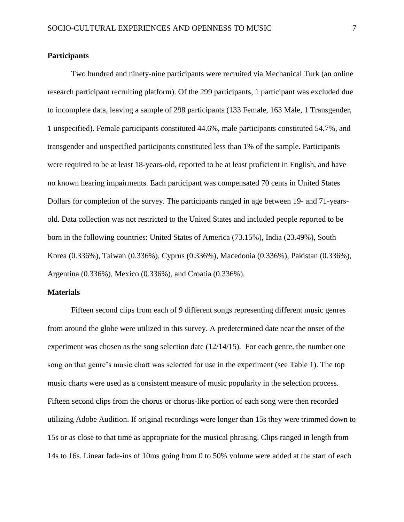## **Participants**

Two hundred and ninety-nine participants were recruited via Mechanical Turk (an online research participant recruiting platform). Of the 299 participants, 1 participant was excluded due to incomplete data, leaving a sample of 298 participants (133 Female, 163 Male, 1 Transgender, 1 unspecified). Female participants constituted 44.6%, male participants constituted 54.7%, and transgender and unspecified participants constituted less than 1% of the sample. Participants were required to be at least 18-years-old, reported to be at least proficient in English, and have no known hearing impairments. Each participant was compensated 70 cents in United States Dollars for completion of the survey. The participants ranged in age between 19- and 71-yearsold. Data collection was not restricted to the United States and included people reported to be born in the following countries: United States of America (73.15%), India (23.49%), South Korea (0.336%), Taiwan (0.336%), Cyprus (0.336%), Macedonia (0.336%), Pakistan (0.336%), Argentina (0.336%), Mexico (0.336%), and Croatia (0.336%).

## **Materials**

Fifteen second clips from each of 9 different songs representing different music genres from around the globe were utilized in this survey. A predetermined date near the onset of the experiment was chosen as the song selection date  $(12/14/15)$ . For each genre, the number one song on that genre's music chart was selected for use in the experiment (see Table 1). The top music charts were used as a consistent measure of music popularity in the selection process. Fifteen second clips from the chorus or chorus-like portion of each song were then recorded utilizing Adobe Audition. If original recordings were longer than 15s they were trimmed down to 15s or as close to that time as appropriate for the musical phrasing. Clips ranged in length from 14s to 16s. Linear fade-ins of 10ms going from 0 to 50% volume were added at the start of each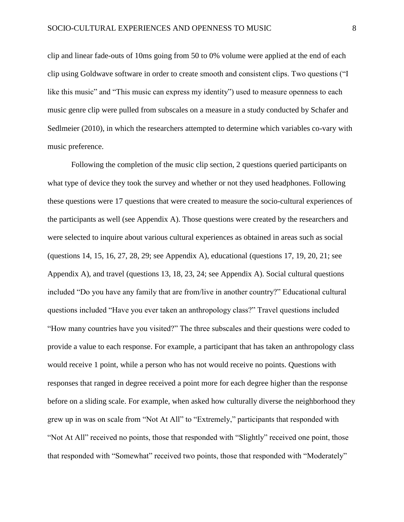clip and linear fade-outs of 10ms going from 50 to 0% volume were applied at the end of each clip using Goldwave software in order to create smooth and consistent clips. Two questions ("I like this music" and "This music can express my identity") used to measure openness to each music genre clip were pulled from subscales on a measure in a study conducted by Schafer and Sedlmeier (2010), in which the researchers attempted to determine which variables co-vary with music preference.

Following the completion of the music clip section, 2 questions queried participants on what type of device they took the survey and whether or not they used headphones. Following these questions were 17 questions that were created to measure the socio-cultural experiences of the participants as well (see Appendix A). Those questions were created by the researchers and were selected to inquire about various cultural experiences as obtained in areas such as social (questions 14, 15, 16, 27, 28, 29; see Appendix A), educational (questions 17, 19, 20, 21; see Appendix A), and travel (questions 13, 18, 23, 24; see Appendix A). Social cultural questions included "Do you have any family that are from/live in another country?" Educational cultural questions included "Have you ever taken an anthropology class?" Travel questions included "How many countries have you visited?" The three subscales and their questions were coded to provide a value to each response. For example, a participant that has taken an anthropology class would receive 1 point, while a person who has not would receive no points. Questions with responses that ranged in degree received a point more for each degree higher than the response before on a sliding scale. For example, when asked how culturally diverse the neighborhood they grew up in was on scale from "Not At All" to "Extremely," participants that responded with "Not At All" received no points, those that responded with "Slightly" received one point, those that responded with "Somewhat" received two points, those that responded with "Moderately"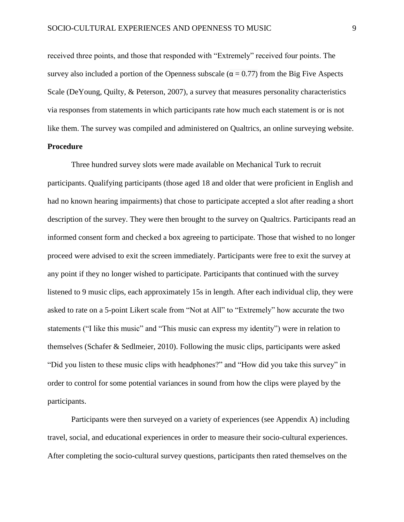received three points, and those that responded with "Extremely" received four points. The survey also included a portion of the Openness subscale ( $\alpha$  = 0.77) from the Big Five Aspects Scale (DeYoung, Quilty, & Peterson, 2007), a survey that measures personality characteristics via responses from statements in which participants rate how much each statement is or is not like them. The survey was compiled and administered on Qualtrics, an online surveying website. **Procedure**

# Three hundred survey slots were made available on Mechanical Turk to recruit participants. Qualifying participants (those aged 18 and older that were proficient in English and had no known hearing impairments) that chose to participate accepted a slot after reading a short description of the survey. They were then brought to the survey on Qualtrics. Participants read an informed consent form and checked a box agreeing to participate. Those that wished to no longer proceed were advised to exit the screen immediately. Participants were free to exit the survey at any point if they no longer wished to participate. Participants that continued with the survey listened to 9 music clips, each approximately 15s in length. After each individual clip, they were asked to rate on a 5-point Likert scale from "Not at All" to "Extremely" how accurate the two statements ("I like this music" and "This music can express my identity") were in relation to themselves (Schafer & Sedlmeier, 2010). Following the music clips, participants were asked "Did you listen to these music clips with headphones?" and "How did you take this survey" in order to control for some potential variances in sound from how the clips were played by the participants.

Participants were then surveyed on a variety of experiences (see Appendix A) including travel, social, and educational experiences in order to measure their socio-cultural experiences. After completing the socio-cultural survey questions, participants then rated themselves on the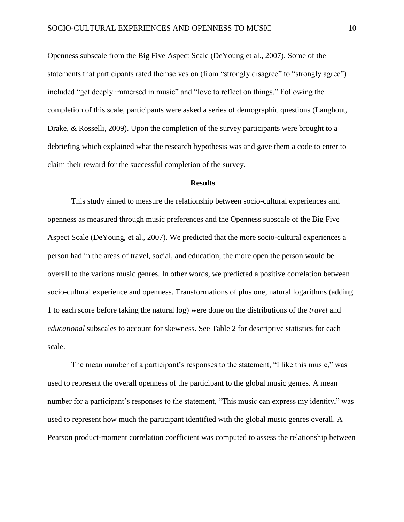Openness subscale from the Big Five Aspect Scale (DeYoung et al., 2007). Some of the statements that participants rated themselves on (from "strongly disagree" to "strongly agree") included "get deeply immersed in music" and "love to reflect on things." Following the completion of this scale, participants were asked a series of demographic questions (Langhout, Drake, & Rosselli, 2009). Upon the completion of the survey participants were brought to a debriefing which explained what the research hypothesis was and gave them a code to enter to claim their reward for the successful completion of the survey.

#### **Results**

This study aimed to measure the relationship between socio-cultural experiences and openness as measured through music preferences and the Openness subscale of the Big Five Aspect Scale (DeYoung, et al., 2007). We predicted that the more socio-cultural experiences a person had in the areas of travel, social, and education, the more open the person would be overall to the various music genres. In other words, we predicted a positive correlation between socio-cultural experience and openness. Transformations of plus one, natural logarithms (adding 1 to each score before taking the natural log) were done on the distributions of the *travel* and *educational* subscales to account for skewness. See Table 2 for descriptive statistics for each scale.

The mean number of a participant's responses to the statement, "I like this music," was used to represent the overall openness of the participant to the global music genres. A mean number for a participant's responses to the statement, "This music can express my identity," was used to represent how much the participant identified with the global music genres overall. A Pearson product-moment correlation coefficient was computed to assess the relationship between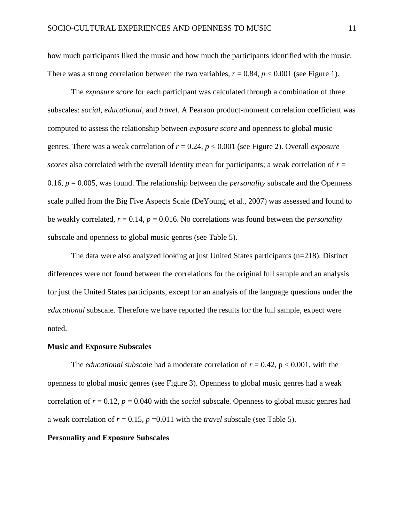how much participants liked the music and how much the participants identified with the music. There was a strong correlation between the two variables,  $r = 0.84$ ,  $p < 0.001$  (see Figure 1).

The *exposure score* for each participant was calculated through a combination of three subscales: *social*, *educational*, and *travel*. A Pearson product-moment correlation coefficient was computed to assess the relationship between *exposure score* and openness to global music genres. There was a weak correlation of *r* = 0.24, *p* < 0.001 (see Figure 2). Overall *exposure scores* also correlated with the overall identity mean for participants; a weak correlation of *r* = 0.16, *p* = 0.005, was found. The relationship between the *personality* subscale and the Openness scale pulled from the Big Five Aspects Scale (DeYoung, et al., 2007) was assessed and found to be weakly correlated,  $r = 0.14$ ,  $p = 0.016$ . No correlations was found between the *personality* subscale and openness to global music genres (see Table 5).

The data were also analyzed looking at just United States participants  $(n=218)$ . Distinct differences were not found between the correlations for the original full sample and an analysis for just the United States participants, except for an analysis of the language questions under the *educational* subscale. Therefore we have reported the results for the full sample, expect were noted.

#### **Music and Exposure Subscales**

The *educational subscale* had a moderate correlation of  $r = 0.42$ ,  $p < 0.001$ , with the openness to global music genres (see Figure 3). Openness to global music genres had a weak correlation of  $r = 0.12$ ,  $p = 0.040$  with the *social* subscale. Openness to global music genres had a weak correlation of  $r = 0.15$ ,  $p = 0.011$  with the *travel* subscale (see Table 5).

## **Personality and Exposure Subscales**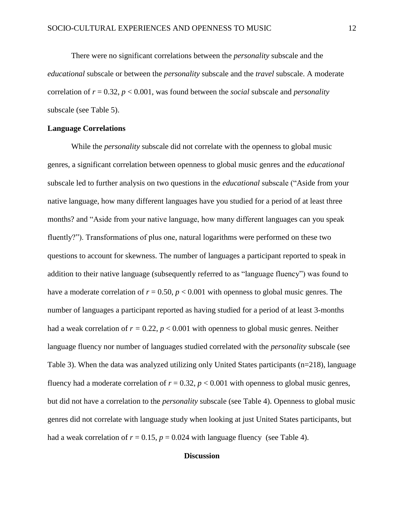There were no significant correlations between the *personality* subscale and the *educational* subscale or between the *personality* subscale and the *travel* subscale. A moderate correlation of *r* = 0.32, *p* < 0.001, was found between the *social* subscale and *personality* subscale (see Table 5).

## **Language Correlations**

While the *personality* subscale did not correlate with the openness to global music genres, a significant correlation between openness to global music genres and the *educational* subscale led to further analysis on two questions in the *educational* subscale ("Aside from your native language, how many different languages have you studied for a period of at least three months? and "Aside from your native language, how many different languages can you speak fluently?"). Transformations of plus one, natural logarithms were performed on these two questions to account for skewness. The number of languages a participant reported to speak in addition to their native language (subsequently referred to as "language fluency") was found to have a moderate correlation of  $r = 0.50$ ,  $p < 0.001$  with openness to global music genres. The number of languages a participant reported as having studied for a period of at least 3-months had a weak correlation of  $r = 0.22$ ,  $p < 0.001$  with openness to global music genres. Neither language fluency nor number of languages studied correlated with the *personality* subscale (see Table 3). When the data was analyzed utilizing only United States participants (n=218), language fluency had a moderate correlation of  $r = 0.32$ ,  $p < 0.001$  with openness to global music genres, but did not have a correlation to the *personality* subscale (see Table 4). Openness to global music genres did not correlate with language study when looking at just United States participants, but had a weak correlation of  $r = 0.15$ ,  $p = 0.024$  with language fluency (see Table 4).

## **Discussion**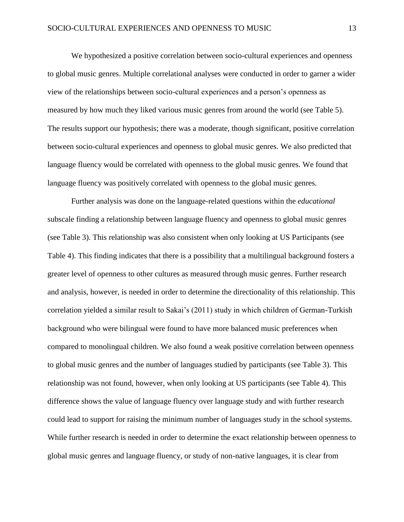We hypothesized a positive correlation between socio-cultural experiences and openness to global music genres. Multiple correlational analyses were conducted in order to garner a wider view of the relationships between socio-cultural experiences and a person's openness as measured by how much they liked various music genres from around the world (see Table 5). The results support our hypothesis; there was a moderate, though significant, positive correlation between socio-cultural experiences and openness to global music genres. We also predicted that language fluency would be correlated with openness to the global music genres. We found that language fluency was positively correlated with openness to the global music genres.

Further analysis was done on the language-related questions within the *educational*  subscale finding a relationship between language fluency and openness to global music genres (see Table 3). This relationship was also consistent when only looking at US Participants (see Table 4). This finding indicates that there is a possibility that a multilingual background fosters a greater level of openness to other cultures as measured through music genres. Further research and analysis, however, is needed in order to determine the directionality of this relationship. This correlation yielded a similar result to Sakai's (2011) study in which children of German-Turkish background who were bilingual were found to have more balanced music preferences when compared to monolingual children. We also found a weak positive correlation between openness to global music genres and the number of languages studied by participants (see Table 3). This relationship was not found, however, when only looking at US participants (see Table 4). This difference shows the value of language fluency over language study and with further research could lead to support for raising the minimum number of languages study in the school systems. While further research is needed in order to determine the exact relationship between openness to global music genres and language fluency, or study of non-native languages, it is clear from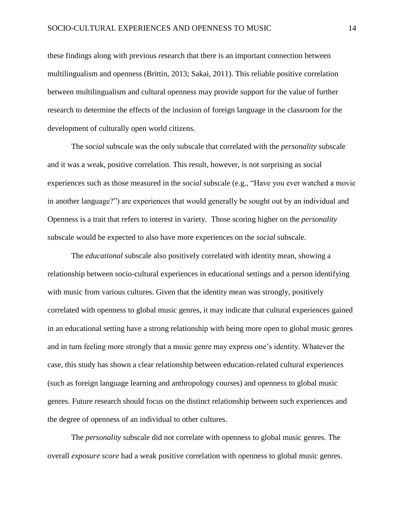these findings along with previous research that there is an important connection between multilingualism and openness (Brittin, 2013; Sakai, 2011). This reliable positive correlation between multilingualism and cultural openness may provide support for the value of further research to determine the effects of the inclusion of foreign language in the classroom for the development of culturally open world citizens.

The *social* subscale was the only subscale that correlated with the *personality* subscale and it was a weak, positive correlation. This result, however, is not surprising as social experiences such as those measured in the *social* subscale (e.g., "Have you ever watched a movie in another language?") are experiences that would generally be sought out by an individual and Openness is a trait that refers to interest in variety. Those scoring higher on the *personality* subscale would be expected to also have more experiences on the *social* subscale.

The *educational* subscale also positively correlated with identity mean, showing a relationship between socio-cultural experiences in educational settings and a person identifying with music from various cultures. Given that the identity mean was strongly, positively correlated with openness to global music genres, it may indicate that cultural experiences gained in an educational setting have a strong relationship with being more open to global music genres and in turn feeling more strongly that a music genre may express one's identity. Whatever the case, this study has shown a clear relationship between education-related cultural experiences (such as foreign language learning and anthropology courses) and openness to global music genres. Future research should focus on the distinct relationship between such experiences and the degree of openness of an individual to other cultures.

The *personality* subscale did not correlate with openness to global music genres. The overall *exposure score* had a weak positive correlation with openness to global music genres.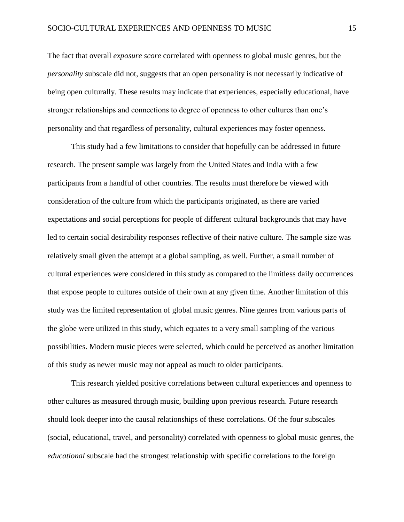The fact that overall *exposure score* correlated with openness to global music genres, but the *personality* subscale did not, suggests that an open personality is not necessarily indicative of being open culturally. These results may indicate that experiences, especially educational, have stronger relationships and connections to degree of openness to other cultures than one's personality and that regardless of personality, cultural experiences may foster openness.

This study had a few limitations to consider that hopefully can be addressed in future research. The present sample was largely from the United States and India with a few participants from a handful of other countries. The results must therefore be viewed with consideration of the culture from which the participants originated, as there are varied expectations and social perceptions for people of different cultural backgrounds that may have led to certain social desirability responses reflective of their native culture. The sample size was relatively small given the attempt at a global sampling, as well. Further, a small number of cultural experiences were considered in this study as compared to the limitless daily occurrences that expose people to cultures outside of their own at any given time. Another limitation of this study was the limited representation of global music genres. Nine genres from various parts of the globe were utilized in this study, which equates to a very small sampling of the various possibilities. Modern music pieces were selected, which could be perceived as another limitation of this study as newer music may not appeal as much to older participants.

This research yielded positive correlations between cultural experiences and openness to other cultures as measured through music, building upon previous research. Future research should look deeper into the causal relationships of these correlations. Of the four subscales (social, educational, travel, and personality) correlated with openness to global music genres, the *educational* subscale had the strongest relationship with specific correlations to the foreign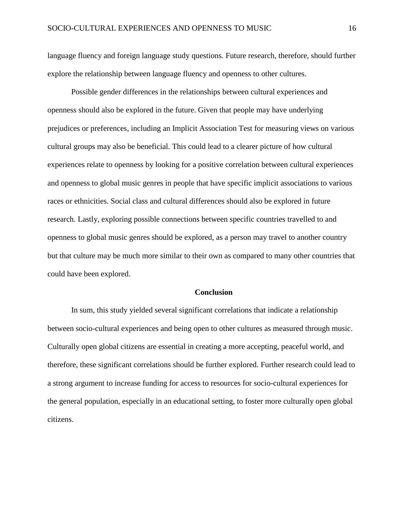language fluency and foreign language study questions. Future research, therefore, should further explore the relationship between language fluency and openness to other cultures.

Possible gender differences in the relationships between cultural experiences and openness should also be explored in the future. Given that people may have underlying prejudices or preferences, including an Implicit Association Test for measuring views on various cultural groups may also be beneficial. This could lead to a clearer picture of how cultural experiences relate to openness by looking for a positive correlation between cultural experiences and openness to global music genres in people that have specific implicit associations to various races or ethnicities. Social class and cultural differences should also be explored in future research. Lastly, exploring possible connections between specific countries travelled to and openness to global music genres should be explored, as a person may travel to another country but that culture may be much more similar to their own as compared to many other countries that could have been explored.

#### **Conclusion**

In sum, this study yielded several significant correlations that indicate a relationship between socio-cultural experiences and being open to other cultures as measured through music. Culturally open global citizens are essential in creating a more accepting, peaceful world, and therefore, these significant correlations should be further explored. Further research could lead to a strong argument to increase funding for access to resources for socio-cultural experiences for the general population, especially in an educational setting, to foster more culturally open global citizens.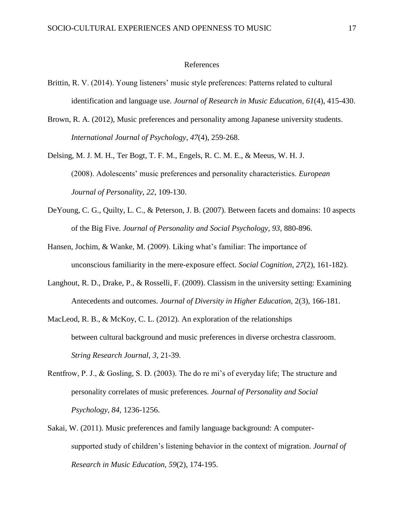#### References

- Brittin, R. V. (2014). Young listeners' music style preferences: Patterns related to cultural identification and language use. *Journal of Research in Music Education, 61*(4), 415-430.
- Brown, R. A. (2012), Music preferences and personality among Japanese university students. *International Journal of Psychology*, *47*(4), 259-268.
- Delsing, M. J. M. H., Ter Bogt, T. F. M., Engels, R. C. M. E., & Meeus, W. H. J. (2008). Adolescents' music preferences and personality characteristics. *European Journal of Personality*, *22*, 109-130.
- DeYoung, C. G., Quilty, L. C., & Peterson, J. B. (2007). Between facets and domains: 10 aspects of the Big Five. *Journal of Personality and Social Psychology, 93,* 880-896*.*
- Hansen, Jochim, & Wanke, M. (2009). Liking what's familiar: The importance of unconscious familiarity in the mere-exposure effect. *Social Cognition*, *27*(2), 161-182).
- Langhout, R. D., Drake, P., & Rosselli, F. (2009). Classism in the university setting: Examining Antecedents and outcomes. *Journal of Diversity in Higher Education,* 2(3), 166-181.
- MacLeod, R. B., & McKoy, C. L. (2012). An exploration of the relationships between cultural background and music preferences in diverse orchestra classroom. *String Research Journal*, *3*, 21-39.
- Rentfrow, P. J., & Gosling, S. D. (2003). The do re mi's of everyday life; The structure and personality correlates of music preferences. *Journal of Personality and Social Psychology*, *84,* 1236-1256.
- Sakai, W. (2011). Music preferences and family language background: A computersupported study of children's listening behavior in the context of migration. *Journal of Research in Music Education, 59*(2), 174-195.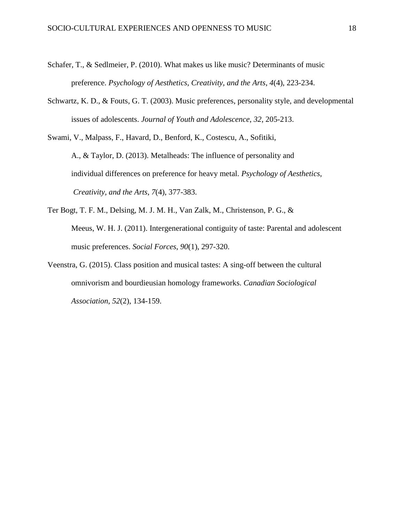- Schafer, T., & Sedlmeier, P. (2010). What makes us like music? Determinants of music preference. *Psychology of Aesthetics, Creativity, and the Arts*, *4*(4), 223-234.
- Schwartz, K. D., & Fouts, G. T. (2003). Music preferences, personality style, and developmental issues of adolescents. *Journal of Youth and Adolescence*, *32*, 205-213.

Swami, V., Malpass, F., Havard, D., Benford, K., Costescu, A., Sofitiki, A., & Taylor, D. (2013). Metalheads: The influence of personality and individual differences on preference for heavy metal. *Psychology of Aesthetics, Creativity, and the Arts*, *7*(4), 377-383.

- Ter Bogt, T. F. M., Delsing, M. J. M. H., Van Zalk, M., Christenson, P. G., & Meeus, W. H. J. (2011). Intergenerational contiguity of taste: Parental and adolescent music preferences. *Social Forces*, *90*(1), 297-320.
- Veenstra, G. (2015). Class position and musical tastes: A sing-off between the cultural omnivorism and bourdieusian homology frameworks. *Canadian Sociological Association*, *52*(2), 134-159.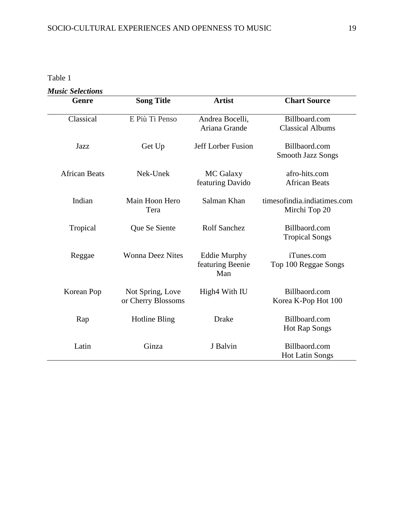Table 1

| <b>Music Selections</b> |                                        |                                                |                                              |
|-------------------------|----------------------------------------|------------------------------------------------|----------------------------------------------|
| Genre                   | <b>Song Title</b>                      | <b>Artist</b>                                  | <b>Chart Source</b>                          |
| Classical               | E Più Ti Penso                         | Andrea Bocelli,<br>Ariana Grande               | Billboard.com<br><b>Classical Albums</b>     |
| Jazz                    | Get Up                                 | Jeff Lorber Fusion                             | Billbaord.com<br><b>Smooth Jazz Songs</b>    |
| <b>African Beats</b>    | Nek-Unek                               | MC Galaxy<br>featuring Davido                  | afro-hits.com<br><b>African Beats</b>        |
| Indian                  | Main Hoon Hero<br>Tera                 | Salman Khan                                    | timesofindia.indiatimes.com<br>Mirchi Top 20 |
| Tropical                | Que Se Siente                          | <b>Rolf Sanchez</b>                            | Billbaord.com<br><b>Tropical Songs</b>       |
| Reggae                  | <b>Wonna Deez Nites</b>                | <b>Eddie Murphy</b><br>featuring Beenie<br>Man | iTunes.com<br>Top 100 Reggae Songs           |
| Korean Pop              | Not Spring, Love<br>or Cherry Blossoms | High4 With IU                                  | Billbaord.com<br>Korea K-Pop Hot 100         |
| Rap                     | <b>Hotline Bling</b>                   | Drake                                          | Billboard.com<br><b>Hot Rap Songs</b>        |
| Latin                   | Ginza                                  | J Balvin                                       | Billbaord.com<br><b>Hot Latin Songs</b>      |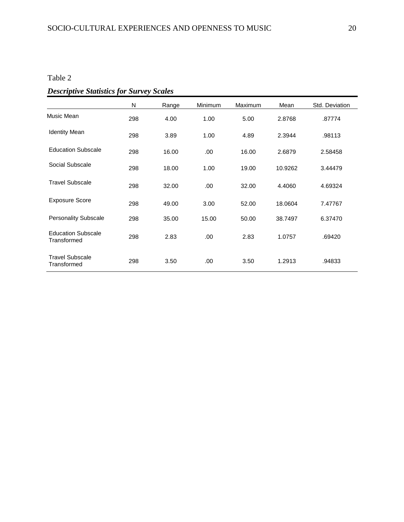# Table 2

|--|

|                                          | N   | Range | Minimum | Maximum | Mean    | Std. Deviation |
|------------------------------------------|-----|-------|---------|---------|---------|----------------|
| Music Mean                               | 298 | 4.00  | 1.00    | 5.00    | 2.8768  | .87774         |
| <b>Identity Mean</b>                     | 298 | 3.89  | 1.00    | 4.89    | 2.3944  | .98113         |
| <b>Education Subscale</b>                | 298 | 16.00 | .00.    | 16.00   | 2.6879  | 2.58458        |
| Social Subscale                          | 298 | 18.00 | 1.00    | 19.00   | 10.9262 | 3.44479        |
| <b>Travel Subscale</b>                   | 298 | 32.00 | .00     | 32.00   | 4.4060  | 4.69324        |
| <b>Exposure Score</b>                    | 298 | 49.00 | 3.00    | 52.00   | 18.0604 | 7.47767        |
| <b>Personality Subscale</b>              | 298 | 35.00 | 15.00   | 50.00   | 38.7497 | 6.37470        |
| <b>Education Subscale</b><br>Transformed | 298 | 2.83  | .00     | 2.83    | 1.0757  | .69420         |
| <b>Travel Subscale</b><br>Transformed    | 298 | 3.50  | .00     | 3.50    | 1.2913  | .94833         |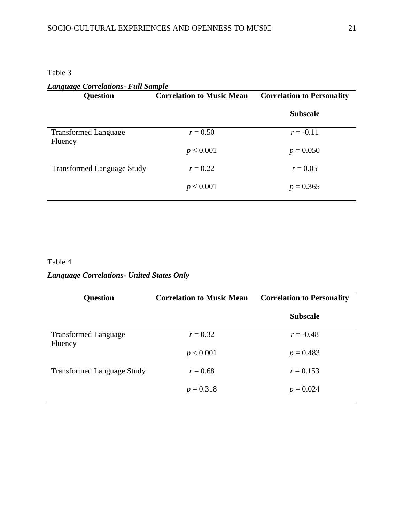Table 3

| <b>Language Correlations- Full Sample</b> |                                  |                                   |  |  |  |  |  |
|-------------------------------------------|----------------------------------|-----------------------------------|--|--|--|--|--|
| <b>Question</b>                           | <b>Correlation to Music Mean</b> | <b>Correlation to Personality</b> |  |  |  |  |  |
|                                           |                                  | <b>Subscale</b>                   |  |  |  |  |  |
| <b>Transformed Language</b>               | $r = 0.50$                       | $r = -0.11$                       |  |  |  |  |  |
| Fluency                                   | p < 0.001                        | $p = 0.050$                       |  |  |  |  |  |
| <b>Transformed Language Study</b>         | $r = 0.22$                       | $r = 0.05$                        |  |  |  |  |  |
|                                           | p < 0.001                        | $p = 0.365$                       |  |  |  |  |  |
|                                           |                                  |                                   |  |  |  |  |  |

# Table 4

# *Language Correlations- United States Only*

| Question                          | <b>Correlation to Music Mean</b> | <b>Correlation to Personality</b> |
|-----------------------------------|----------------------------------|-----------------------------------|
|                                   |                                  | <b>Subscale</b>                   |
| <b>Transformed Language</b>       | $r = 0.32$                       | $r = -0.48$                       |
| Fluency                           | p < 0.001                        | $p = 0.483$                       |
| <b>Transformed Language Study</b> | $r = 0.68$                       | $r = 0.153$                       |
|                                   | $p = 0.318$                      | $p = 0.024$                       |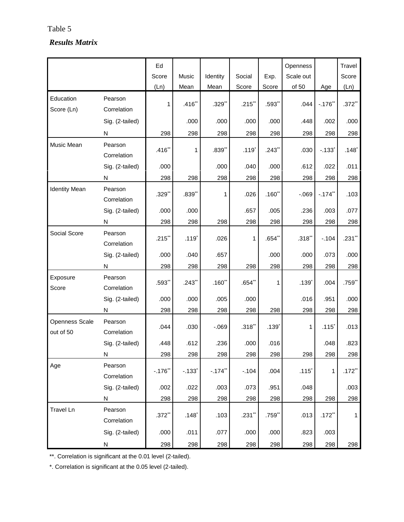## Table 5-Cultural experiences and opening  $\overline{S}$

# *Results Matrix*

|                                    |                        | Ed                   |                      |           |                     |           | Openness            |                     | Travel    |
|------------------------------------|------------------------|----------------------|----------------------|-----------|---------------------|-----------|---------------------|---------------------|-----------|
|                                    |                        | Score                | Music                | Identity  | Social              | Exp.      | Scale out           |                     | Score     |
|                                    |                        | (Ln)                 | Mean                 | Mean      | Score               | Score     | of 50               | Age                 | (Ln)      |
| Education<br>Score (Ln)            | Pearson<br>Correlation | 1                    | $.416$ **            | $.329**$  | .215                | $.593**$  | .044                | $-.176"$            | $.372**$  |
|                                    | Sig. (2-tailed)        |                      | .000                 | .000      | .000                | .000      | .448                | .002                | .000      |
|                                    | N                      | 298                  | 298                  | 298       | 298                 | 298       | 298                 | 298                 | 298       |
| Music Mean                         | Pearson<br>Correlation | $.416$ **            | 1                    | .839**    | $.119$ <sup>*</sup> | $.243$ ** | .030                | $-133$ <sup>*</sup> | $.148*$   |
|                                    | Sig. (2-tailed)        | .000                 |                      | .000      | .040                | .000      | .612                | .022                | .011      |
|                                    | N                      | 298                  | 298                  | 298       | 298                 | 298       | 298                 | 298                 | 298       |
| <b>Identity Mean</b>               | Pearson<br>Correlation | $.329$ **            | $.839**$             | 1         | .026                | $.160$ ** | $-069$              | $-.174"$            | .103      |
|                                    | Sig. (2-tailed)        | .000                 | .000                 |           | .657                | .005      | .236                | .003                | .077      |
|                                    | N                      | 298                  | 298                  | 298       | 298                 | 298       | 298                 | 298                 | 298       |
| Social Score                       | Pearson<br>Correlation | .215                 | $.119*$              | .026      | 1                   | $.654**$  | $.318**$            | $-.104$             | $.231$ ** |
|                                    | Sig. (2-tailed)        | .000                 | .040                 | .657      |                     | .000      | .000                | .073                | .000      |
|                                    | N                      | 298                  | 298                  | 298       | 298                 | 298       | 298                 | 298                 | 298       |
| Exposure<br>Score                  | Pearson<br>Correlation | .593**               | .243                 | $.160$ ** | .654"               | 1         | $.139$ <sup>*</sup> | .004                | .759**    |
|                                    | Sig. (2-tailed)        | .000                 | .000                 | .005      | .000                |           | .016                | .951                | .000      |
|                                    | N                      | 298                  | 298                  | 298       | 298                 | 298       | 298                 | 298                 | 298       |
| <b>Openness Scale</b><br>out of 50 | Pearson<br>Correlation | .044                 | .030                 | $-069$    | $.318$ **           | $.139*$   | 1                   | $.115$ <sup>*</sup> | .013      |
|                                    | Sig. (2-tailed)        | .448                 | .612                 | .236      | .000                | .016      |                     | .048                | .823      |
|                                    | N                      | 298                  | 298                  | 298       | 298                 | 298       | 298                 | 298                 | 298       |
| Age                                | Pearson<br>Correlation | $-.176"$             | $-.133$ <sup>*</sup> | $-.174"$  | $-.104$             | .004      | $.115*$             | $\mathbf{1}$        | $.172$ ** |
|                                    | Sig. (2-tailed)        | .002                 | .022                 | .003      | .073                | .951      | .048                |                     | .003      |
|                                    | N                      | 298                  | 298                  | 298       | 298                 | 298       | 298                 | 298                 | 298       |
| <b>Travel Ln</b>                   | Pearson<br>Correlation | $.372$ <sup>**</sup> | $.148$ <sup>*</sup>  | .103      | .231                | .759**    | .013                | $.172$ **           | 1         |
|                                    | Sig. (2-tailed)        | .000                 | .011                 | .077      | .000                | .000      | .823                | .003                |           |
|                                    | ${\sf N}$              | 298                  | 298                  | 298       | 298                 | 298       | 298                 | 298                 | 298       |

\*\*. Correlation is significant at the 0.01 level (2-tailed).

\*. Correlation is significant at the 0.05 level (2-tailed).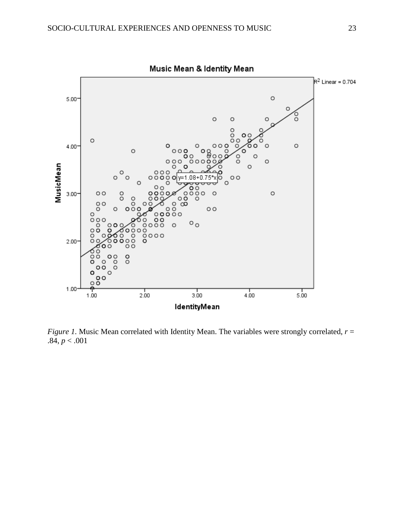

*Figure 1.* Music Mean correlated with Identity Mean. The variables were strongly correlated,  $r =$  $.84, p < .001$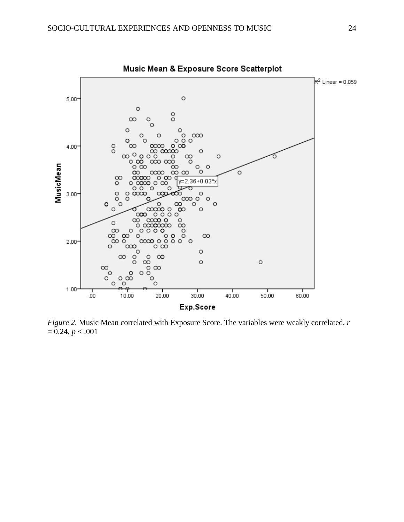

*Figure 2.* Music Mean correlated with Exposure Score. The variables were weakly correlated, *r*   $= 0.24, p < .001$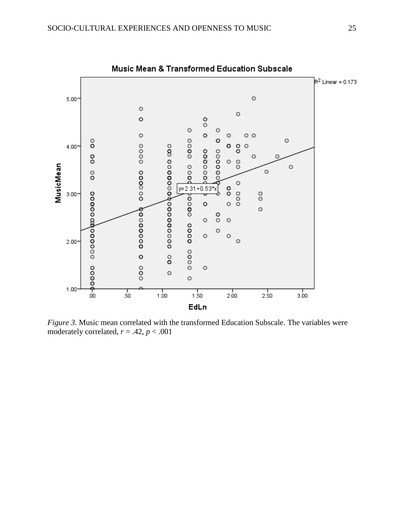

*Figure 3.* Music mean correlated with the transformed Education Subscale. The variables were moderately correlated,  $r = .42$ ,  $p < .001$ 

Music Mean & Transformed Education Subscale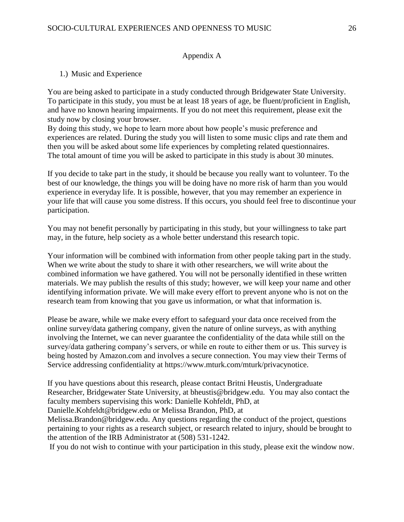## Appendix A

## 1.) Music and Experience

You are being asked to participate in a study conducted through Bridgewater State University. To participate in this study, you must be at least 18 years of age, be fluent/proficient in English, and have no known hearing impairments. If you do not meet this requirement, please exit the study now by closing your browser.

By doing this study, we hope to learn more about how people's music preference and experiences are related. During the study you will listen to some music clips and rate them and then you will be asked about some life experiences by completing related questionnaires. The total amount of time you will be asked to participate in this study is about 30 minutes.

If you decide to take part in the study, it should be because you really want to volunteer. To the best of our knowledge, the things you will be doing have no more risk of harm than you would experience in everyday life. It is possible, however, that you may remember an experience in your life that will cause you some distress. If this occurs, you should feel free to discontinue your participation.

You may not benefit personally by participating in this study, but your willingness to take part may, in the future, help society as a whole better understand this research topic.

Your information will be combined with information from other people taking part in the study. When we write about the study to share it with other researchers, we will write about the combined information we have gathered. You will not be personally identified in these written materials. We may publish the results of this study; however, we will keep your name and other identifying information private. We will make every effort to prevent anyone who is not on the research team from knowing that you gave us information, or what that information is.

Please be aware, while we make every effort to safeguard your data once received from the online survey/data gathering company, given the nature of online surveys, as with anything involving the Internet, we can never guarantee the confidentiality of the data while still on the survey/data gathering company's servers, or while en route to either them or us. This survey is being hosted by Amazon.com and involves a secure connection. You may view their Terms of Service addressing confidentiality at https://www.mturk.com/mturk/privacynotice.

If you have questions about this research, please contact Britni Heustis, Undergraduate Researcher, Bridgewater State University, at bheustis@bridgew.edu. You may also contact the faculty members supervising this work: Danielle Kohfeldt, PhD, at

Danielle.Kohfeldt@bridgew.edu or Melissa Brandon, PhD, at

Melissa.Brandon@bridgew.edu. Any questions regarding the conduct of the project, questions pertaining to your rights as a research subject, or research related to injury, should be brought to the attention of the IRB Administrator at (508) 531-1242.

If you do not wish to continue with your participation in this study, please exit the window now.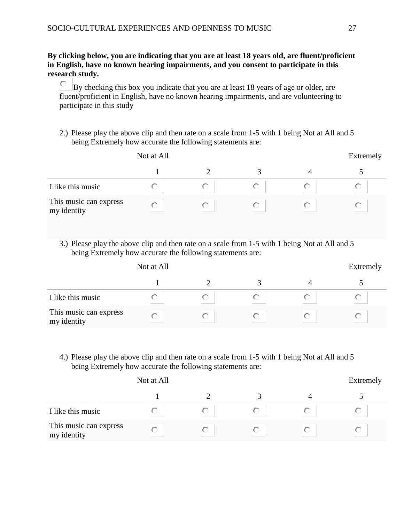# **By clicking below, you are indicating that you are at least 18 years old, are fluent/proficient in English, have no known hearing impairments, and you consent to participate in this research study.**

0. By checking this box you indicate that you are at least 18 years of age or older, are fluent/proficient in English, have no known hearing impairments, and are volunteering to participate in this study

2.) Please play the above clip and then rate on a scale from 1-5 with 1 being Not at All and 5 being Extremely how accurate the following statements are:

|                                       | Not at All |  |  | Extremely |  |  |  |
|---------------------------------------|------------|--|--|-----------|--|--|--|
|                                       |            |  |  |           |  |  |  |
| I like this music                     |            |  |  |           |  |  |  |
| This music can express<br>my identity |            |  |  |           |  |  |  |

3.) Please play the above clip and then rate on a scale from 1-5 with 1 being Not at All and 5 being Extremely how accurate the following statements are:

|                                       | Not at All |  | Extremely |
|---------------------------------------|------------|--|-----------|
|                                       |            |  |           |
| I like this music                     |            |  |           |
| This music can express<br>my identity | O          |  |           |

4.) Please play the above clip and then rate on a scale from 1-5 with 1 being Not at All and 5 being Extremely how accurate the following statements are:

|                                       | Not at All |  | Extremely |
|---------------------------------------|------------|--|-----------|
|                                       |            |  |           |
| I like this music                     |            |  |           |
| This music can express<br>my identity |            |  |           |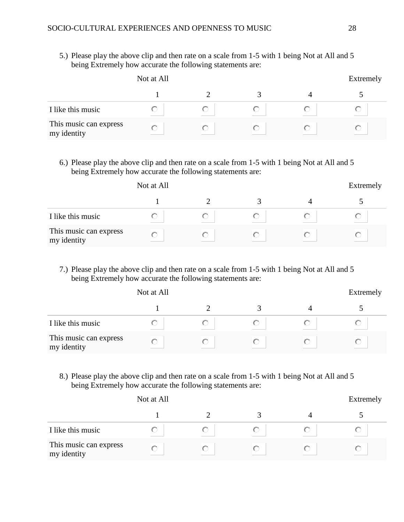5.) Please play the above clip and then rate on a scale from 1-5 with 1 being Not at All and 5 being Extremely how accurate the following statements are:

|                                       | Not at All |  | Extremely |  |
|---------------------------------------|------------|--|-----------|--|
|                                       |            |  |           |  |
| I like this music                     |            |  |           |  |
| This music can express<br>my identity |            |  |           |  |

6.) Please play the above clip and then rate on a scale from 1-5 with 1 being Not at All and 5 being Extremely how accurate the following statements are:

|                                       | Not at All |  | Extremely |  |
|---------------------------------------|------------|--|-----------|--|
|                                       |            |  |           |  |
| I like this music                     |            |  |           |  |
| This music can express<br>my identity |            |  |           |  |

7.) Please play the above clip and then rate on a scale from 1-5 with 1 being Not at All and 5 being Extremely how accurate the following statements are:

|                                       | Not at All |  | Extremely |
|---------------------------------------|------------|--|-----------|
|                                       |            |  |           |
| I like this music                     |            |  |           |
| This music can express<br>my identity |            |  |           |

8.) Please play the above clip and then rate on a scale from 1-5 with 1 being Not at All and 5 being Extremely how accurate the following statements are:

|                                       | Not at All |  |  | Extremely |  |  |  |
|---------------------------------------|------------|--|--|-----------|--|--|--|
|                                       |            |  |  |           |  |  |  |
| I like this music                     |            |  |  |           |  |  |  |
| This music can express<br>my identity |            |  |  |           |  |  |  |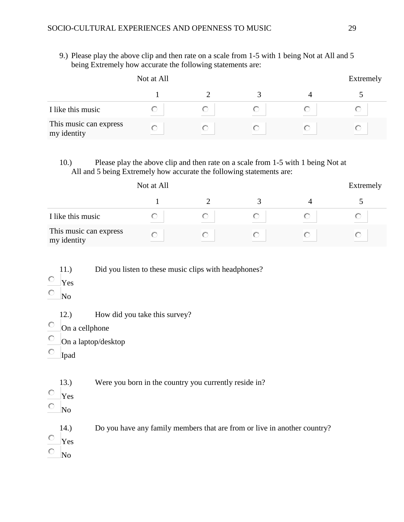9.) Please play the above clip and then rate on a scale from 1-5 with 1 being Not at All and 5 being Extremely how accurate the following statements are:

|                                       | Not at All |  | Extremely |  |
|---------------------------------------|------------|--|-----------|--|
|                                       |            |  |           |  |
| I like this music                     |            |  |           |  |
| This music can express<br>my identity |            |  |           |  |

10.) Please play the above clip and then rate on a scale from 1-5 with 1 being Not at All and 5 being Extremely how accurate the following statements are:

|                                       | Not at All |  |  | Extremely |  |  |  |
|---------------------------------------|------------|--|--|-----------|--|--|--|
|                                       |            |  |  |           |  |  |  |
| I like this music                     |            |  |  |           |  |  |  |
| This music can express<br>my identity |            |  |  |           |  |  |  |

11.) Did you listen to these music clips with headphones?

- $\circ$ Yes
- О. No
	- 12.) How did you take this survey?
- $\circ$ On a cellphone
- О. On a laptop/desktop
- O Ipad

13.) Were you born in the country you currently reside in?

- 0 Yes
- $\hfill\ensuremath{\circ}\hfill$   $\hfill\ensuremath{\mathsf{No}}$ 
	- 14.) Do you have any family members that are from or live in another country?
- О. Yes
- О. No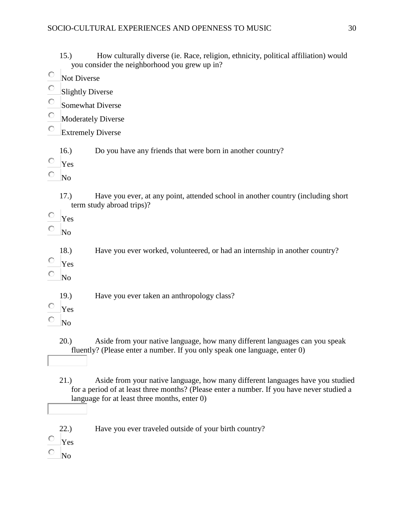15.) How culturally diverse (ie. Race, religion, ethnicity, political affiliation) would you consider the neighborhood you grew up in?

- О Not Diverse
- 0 Slightly Diverse
- 0. Somewhat Diverse
- 0. Moderately Diverse
- О Extremely Diverse

16.) Do you have any friends that were born in another country?

- $\circ$ Yes
- O No
	- 17.) Have you ever, at any point, attended school in another country (including short term study abroad trips)?
- $\circ$ Yes
- 0 No
	- 18.) Have you ever worked, volunteered, or had an internship in another country?
- Ō Yes
- О No
	- 19.) Have you ever taken an anthropology class?
- $\circ$ Yes
- Ō No

20.) Aside from your native language, how many different languages can you speak fluently? (Please enter a number. If you only speak one language, enter 0)

- 21.) Aside from your native language, how many different languages have you studied for a period of at least three months? (Please enter a number. If you have never studied a language for at least three months, enter 0)
- 22.) Have you ever traveled outside of your birth country?
- 0. Yes
- 0 No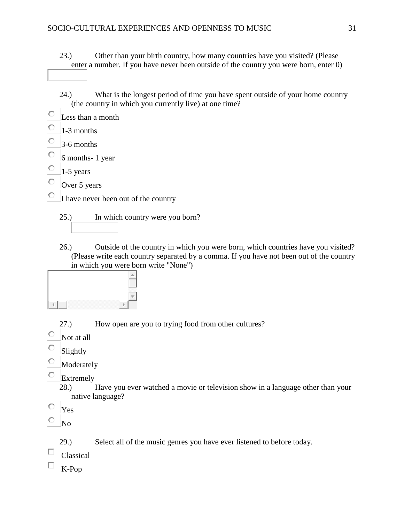23.) Other than your birth country, how many countries have you visited? (Please enter a number. If you have never been outside of the country you were born, enter 0)

- 24.) What is the longest period of time you have spent outside of your home country (the country in which you currently live) at one time?
- $\circ$ Less than a month
- Ö 1-3 months
- Ō 3-6 months
- О 6 months- 1 year
- $\circ$ 1-5 years
- О Over 5 years

О I have never been out of the country

25.) In which country were you born?

26.) Outside of the country in which you were born, which countries have you visited? (Please write each country separated by a comma. If you have not been out of the country in which you were born write "None")



27.) How open are you to trying food from other cultures?

- Ō Not at all
- O Slightly
- О Moderately
- 0. Extremely

28.) Have you ever watched a movie or television show in a language other than your native language?

О Yes

O No

29.) Select all of the music genres you have ever listened to before today.

- П. Classical
- П K-Pop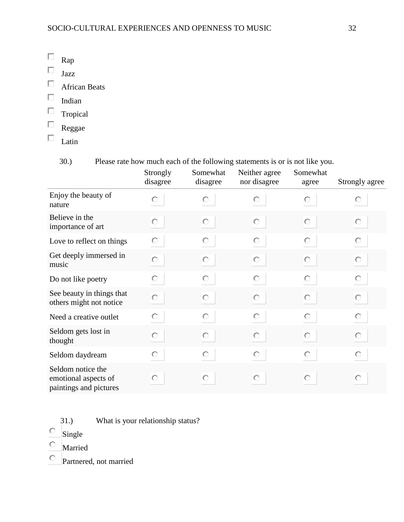- $\Box$ Rap
- $\Box$ Jazz
- $\Box$  African Beats
- $\hfill \Box$  Indian
- $\Box$ Tropical
- $\Box$ Reggae
- $\Box$ Latin
	-

30.) Please rate how much each of the following statements is or is not like you.

|                                                                     | Strongly<br>disagree | Somewhat<br>disagree | Neither agree<br>nor disagree | Somewhat<br>agree | Strongly agree |
|---------------------------------------------------------------------|----------------------|----------------------|-------------------------------|-------------------|----------------|
| Enjoy the beauty of<br>nature                                       | O                    | О                    | О                             | О                 | О              |
| Believe in the<br>importance of art                                 | O                    | O                    | О                             | Ю                 | О              |
| Love to reflect on things                                           | О                    | О                    | О                             | О                 | О              |
| Get deeply immersed in<br>music                                     | Ō                    | O                    | О                             | O                 | Ю              |
| Do not like poetry                                                  | О                    | O                    | О                             | О                 | О              |
| See beauty in things that<br>others might not notice                | $\circ$              | O                    | О                             | O                 | Ю              |
| Need a creative outlet                                              | О                    | О                    | O                             | O                 | О              |
| Seldom gets lost in<br>thought                                      | Ō                    | O                    | О                             | О                 | О              |
| Seldom daydream                                                     | O                    | $\circ$              | O                             | $\circ$           | $\circ$        |
| Seldom notice the<br>emotional aspects of<br>paintings and pictures | О                    | О                    | О                             | О                 | Ю              |

- 31.) What is your relationship status?
- $\circ$  Single
- Married
- Partnered, not married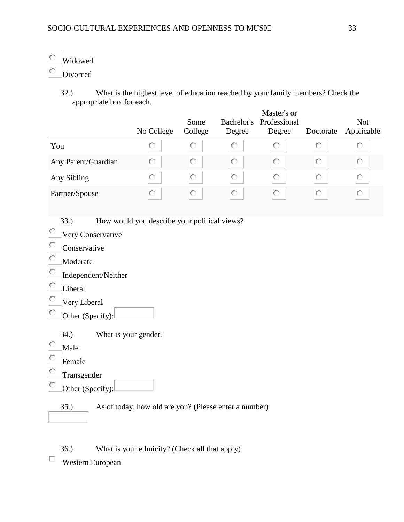# Widowed

- $\circ$  Divorced
	- 32.) What is the highest level of education reached by your family members? Check the appropriate box for each.

|                     | No College | Some<br>College | Degree | Master's or<br>Bachelor's Professional<br>Degree | Doctorate | <b>Not</b><br>Applicable |
|---------------------|------------|-----------------|--------|--------------------------------------------------|-----------|--------------------------|
| You                 |            |                 |        |                                                  |           |                          |
| Any Parent/Guardian | O          | О               |        | O                                                | О         | O                        |
| Any Sibling         | O          | O               | O      | O                                                | O         | O                        |
| Partner/Spouse      |            | О               |        | O                                                | О         | U                        |

33.) How would you describe your political views?

- Very Conservative
- $\circ$  Conservative
- $\circ$  Moderate
- $\circ$  Independent/Neither
- $\circ$  Liberal
- Very Liberal
- $\circ$  Other (Specify):
	- 34.) What is your gender?
- $\circ$  Male
- $\circ$  Female
- Transgender
- $\circ$  Other (Specify):

35.) As of today, how old are you? (Please enter a number)

36.) What is your ethnicity? (Check all that apply)

 $\Box$  Western European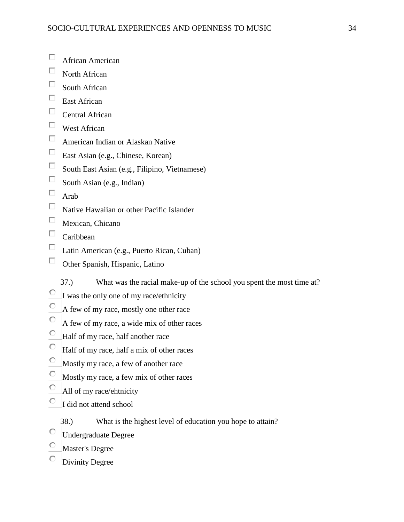- $\Box$  African American
- $\Box$  North African
- $\Box$  South African
- $\Box$  East African
- $\Box$  Central African
- West African
- American Indian or Alaskan Native
- East Asian (e.g., Chinese, Korean)
- $\Box$  South East Asian (e.g., Filipino, Vietnamese)
- $\Box$  South Asian (e.g., Indian)
- $\Box$  Arab
- $\Box$  Native Hawaiian or other Pacific Islander
- $\Box$  Mexican, Chicano
- $\Box$  Caribbean
- Latin American (e.g., Puerto Rican, Cuban)
- $\Box$  Other Spanish, Hispanic, Latino
	- 37.) What was the racial make-up of the school you spent the most time at?
- $\overline{C}$  I was the only one of my race/ethnicity
- $\circ$  A few of my race, mostly one other race
- $\circ$  A few of my race, a wide mix of other races
- Half of my race, half another race
- Half of my race, half a mix of other races
- Mostly my race, a few of another race
- $\circ$  Mostly my race, a few mix of other races
- $\overline{O}$  All of my race/ehtnicity
- $\overline{C}$  I did not attend school
	- 38.) What is the highest level of education you hope to attain?
- Undergraduate Degree
- Master's Degree
- Divinity Degree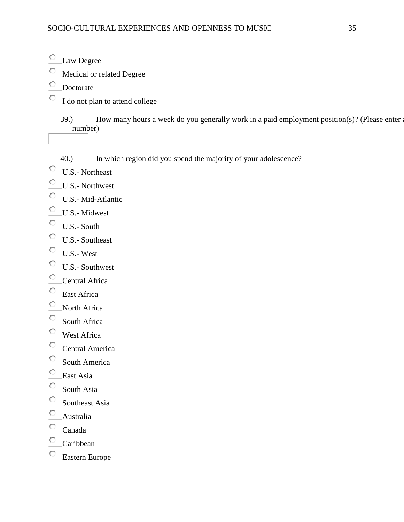- Law Degree
- Medical or related Degree
- Doctorate
- $\overline{\phantom{a}}$  I do not plan to attend college

39.) How many hours a week do you generally work in a paid employment position(s)? (Please enter a number)

- 40.) In which region did you spend the majority of your adolescence?
- U.S.- Northeast
- U.S.- Northwest
- U.S.- Mid-Atlantic
- U.S.- Midwest
- $\overline{C}$  U.S.- South
- $\begin{array}{ccc}\n\bullet & \text{U.S.-} & \text{Southeast} \\
\bullet & \text{II.S.- West}\n\end{array}$
- U.S.- West
- U.S.- Southwest
- $\circ$  Central Africa
- $C$  East Africa
- North Africa
- $\circ$  South Africa
- West Africa
- Central America
- $\frac{1}{\sqrt{1-\frac{1}{\sqrt{1-\frac{1}{\sqrt{1-\frac{1}{\sqrt{1-\frac{1}{\sqrt{1-\frac{1}{\sqrt{1-\frac{1}{\sqrt{1-\frac{1}{\sqrt{1-\frac{1}{\sqrt{1-\frac{1}{\sqrt{1-\frac{1}{\sqrt{1-\frac{1}{\sqrt{1-\frac{1}{\sqrt{1-\frac{1}{\sqrt{1-\frac{1}{\sqrt{1-\frac{1}{\sqrt{1-\frac{1}{\sqrt{1-\frac{1}{\sqrt{1-\frac{1}{\sqrt{1-\frac{1}{\sqrt{1-\frac{1}{\sqrt{1-\frac{1}{\sqrt{1-\frac{1}{\sqrt{1-\frac{1}{\sqrt{1-\frac{1$
- East Asia
- $\circ$  South Asia
- $\circ$  Southeast Asia
- Australia
- $\circ$  Canada
- $\circ$  Caribbean
- Eastern Europe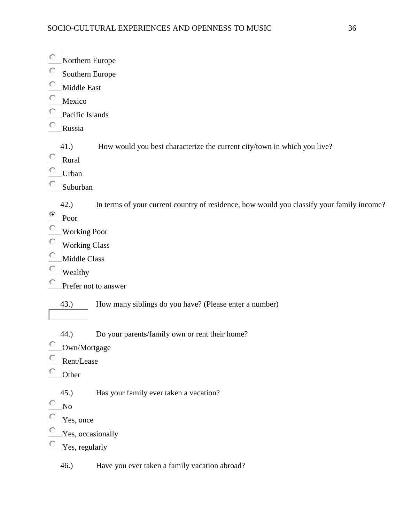| O | Northern Europe      |                                                                                           |
|---|----------------------|-------------------------------------------------------------------------------------------|
| О | Southern Europe      |                                                                                           |
| О | Middle East          |                                                                                           |
| О | Mexico               |                                                                                           |
|   | Pacific Islands      |                                                                                           |
| О | Russia               |                                                                                           |
| О | 41.)<br>Rural        | How would you best characterize the current city/town in which you live?                  |
| О | Urban<br>Suburban    |                                                                                           |
|   |                      |                                                                                           |
| ⊙ | 42.)<br>Poor         | In terms of your current country of residence, how would you classify your family income? |
| O | <b>Working Poor</b>  |                                                                                           |
| О | <b>Working Class</b> |                                                                                           |
| О | Middle Class         |                                                                                           |
| О | Wealthy              |                                                                                           |
| О |                      | Prefer not to answer                                                                      |
|   | 43.)                 | How many siblings do you have? (Please enter a number)                                    |
|   | 44.)                 | Do your parents/family own or rent their home?                                            |
| О | Own/Mortgage         |                                                                                           |
| О | Rent/Lease           |                                                                                           |
|   | Other                |                                                                                           |
| О | 45.)<br>$\rm No$     | Has your family ever taken a vacation?                                                    |
|   | Yes, once            |                                                                                           |
|   | Yes, occasionally    |                                                                                           |
| О | Yes, regularly       |                                                                                           |
|   | 46.)                 | Have you ever taken a family vacation abroad?                                             |